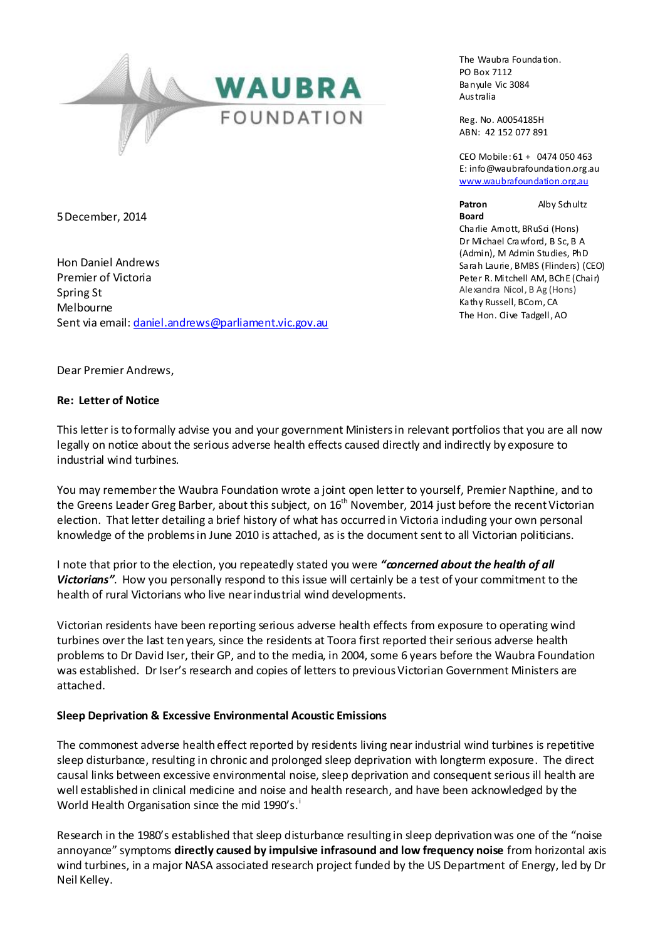

The Waubra Foundation. PO Box 7112 Banyule Vic 3084 Australia

Reg. No. A0054185H ABN: 42 152 077 891

CEO Mobile: 61 + 0474 050 463 E: info@waubrafoundation.org.au [www.waubrafoundation.org.au](http://www.waubrafoundation.org.au/)

**Board**

**Patron** Alby Schultz

Charlie Amott, BRuSci (Hons) Dr Michael Crawford, B Sc, B A (Admin), M Admin Studies, PhD Sarah Laurie, BMBS (Flinders) (CEO) Peter R. Mitchell AM, BChE (Chair) Alexandra Nicol, B Ag (Hons) Kathy Russell, BCom, CA The Hon. Clive Tadgell, AO

5December, 2014

Hon Daniel Andrews Premier of Victoria Spring St Melbourne Sent via email[: daniel.andrews@parliament.vic.gov.au](mailto:daniel.andrews@parliament.vic.gov.au)

Dear Premier Andrews,

### **Re: Letter of Notice**

This letter is to formally advise you and your government Ministers in relevant portfolios that you are all now legally on notice about the serious adverse health effects caused directly and indirectly by exposure to industrial wind turbines.

You may remember the Waubra Foundation wrote a joint open letter to yourself, Premier Napthine, and to the Greens Leader Greg Barber, about this subject, on  $16<sup>th</sup>$  November, 2014 just before the recent Victorian election. That letter detailing a brief history of what has occurred in Victoria induding your own personal knowledge of the problems in June 2010 is attached, as is the document sent to all Victorian politicians.

I note that prior to the election, you repeatedly stated you were *"concerned about the health of all Victorians"*. How you personally respond to this issue will certainly be a test of your commitment to the health of rural Victorians who live near industrial wind developments.

Victorian residents have been reporting serious adverse health effects from exposure to operating wind turbines over the last ten years, since the residents at Toora first reported their serious adverse health problems to Dr David Iser, their GP, and to the media, in 2004, some 6 years before the Waubra Foundation was established. Dr Iser's research and copies of letters to previous Victorian Government Ministers are attached.

## **Sleep Deprivation & Excessive Environmental Acoustic Emissions**

The commonest adverse health effect reported by residents living near industrial wind turbines is repetitive sleep disturbance, resulting in chronic and prolonged sleep deprivation with longterm exposure. The direct causal links between excessive environmental noise, sleep deprivation and consequent serious ill health are well established in clinical medicine and noise and health research, and have been acknowledged by the World Health Organisation since the mid 1990's.<sup>i</sup>

Research in the 1980's established that sleep disturbance resulting in sleep deprivation was one of the "noise annoyance" symptoms **directly caused by impulsive infrasound and low frequency noise** from horizontal axis wind turbines, in a major NASA associated research project funded by the US Department of Energy, led by Dr Neil Kelley.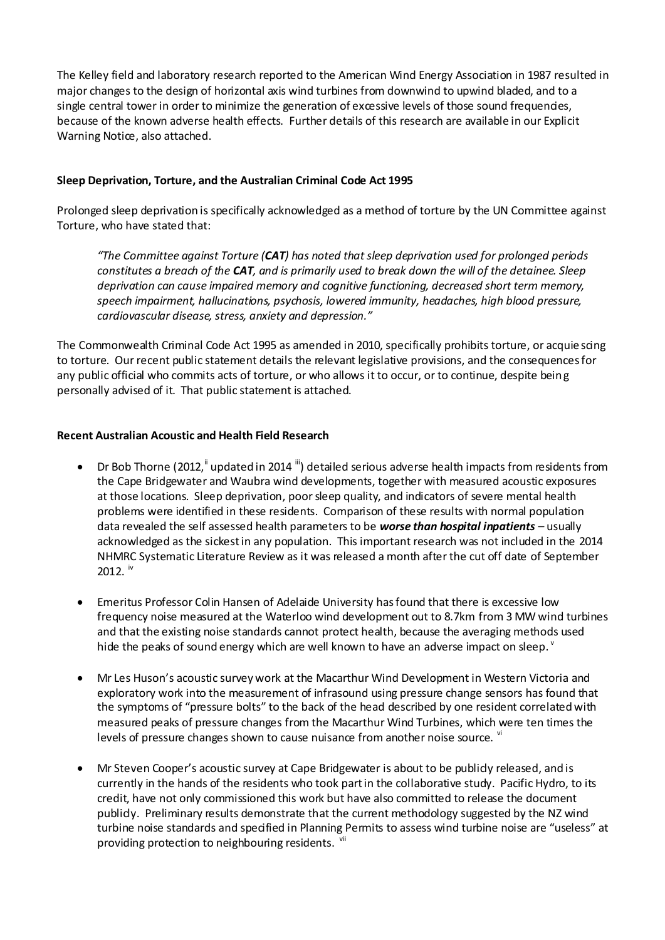The Kelley field and laboratory research reported to the American Wind Energy Association in 1987 resulted in major changes to the design of horizontal axis wind turbines from downwind to upwind bladed, and to a single central tower in order to minimize the generation of excessive levels of those sound frequencies, because of the known adverse health effects. Further details of this research are available in our Explicit Warning Notice, also attached.

## **Sleep Deprivation, Torture, and the Australian Criminal Code Act 1995**

Prolonged sleep deprivation is specifically acknowledged as a method of torture by the UN Committee against Torture, who have stated that:

*"The Committee against Torture (CAT) has noted that sleep deprivation used for prolonged periods constitutes a breach of the CAT, and is primarily used to break down the will of the detainee. Sleep deprivation can cause impaired memory and cognitive functioning, decreased short term memory, speech impairment, hallucinations, psychosis, lowered immunity, headaches, high blood pressure, cardiovascular disease, stress, anxiety and depression."*

The Commonwealth Criminal Code Act 1995 as amended in 2010, specifically prohibits torture, or acquie scing to torture. Our recent public statement details the relevant legislative provisions, and the consequences for any public official who commits acts of torture, or who allows it to occur, or to continue, despite being personally advised of it. That public statement is attached.

### **Recent Australian Acoustic and Health Field Research**

- Dr Bob Thorne (2012,  $\mathbb{I}$  updated in 2014  $\mathbb{I}$ ) detailed serious adverse health impacts from residents from the Cape Bridgewater and Waubra wind developments, together with measured acoustic exposures at those locations. Sleep deprivation, poor sleep quality, and indicators of severe mental health problems were identified in these residents. Comparison of these results with normal population data revealed the self assessed health parameters to be *worse than hospital inpatients* – usually acknowledged as the sickest in any population. This important research was not included in the 2014 NHMRC Systematic Literature Review as it was released a month after the cut off date of September  $2012.$  iv
- Emeritus Professor Colin Hansen of Adelaide University has found that there is excessive low frequency noise measured at the Waterloo wind development out to 8.7km from 3 MW wind turbines and that the existing noise standards cannot protect health, because the averaging methods used hide the peaks of sound energy which are well known to have an adverse impact on sleep.  $^{\circ}$
- Mr Les Huson's acoustic survey work at the Macarthur Wind Development in Western Victoria and exploratory work into the measurement of infrasound using pressure change sensors has found that the symptoms of "pressure bolts" to the back of the head described by one resident correlated with measured peaks of pressure changes from the Macarthur Wind Turbines, which were ten times the levels of pressure changes shown to cause nuisance from another noise source.  $W$
- Mr Steven Cooper's acoustic survey at Cape Bridgewater is about to be publicly released, and is currently in the hands of the residents who took part in the collaborative study. Pacific Hydro, to its credit, have not only commissioned this work but have also committed to release the document publicly. Preliminary results demonstrate that the current methodology suggested by the NZ wind turbine noise standards and specified in Planning Permits to assess wind turbine noise are "useless" at providing protection to neighbouring residents. <sup>vii</sup>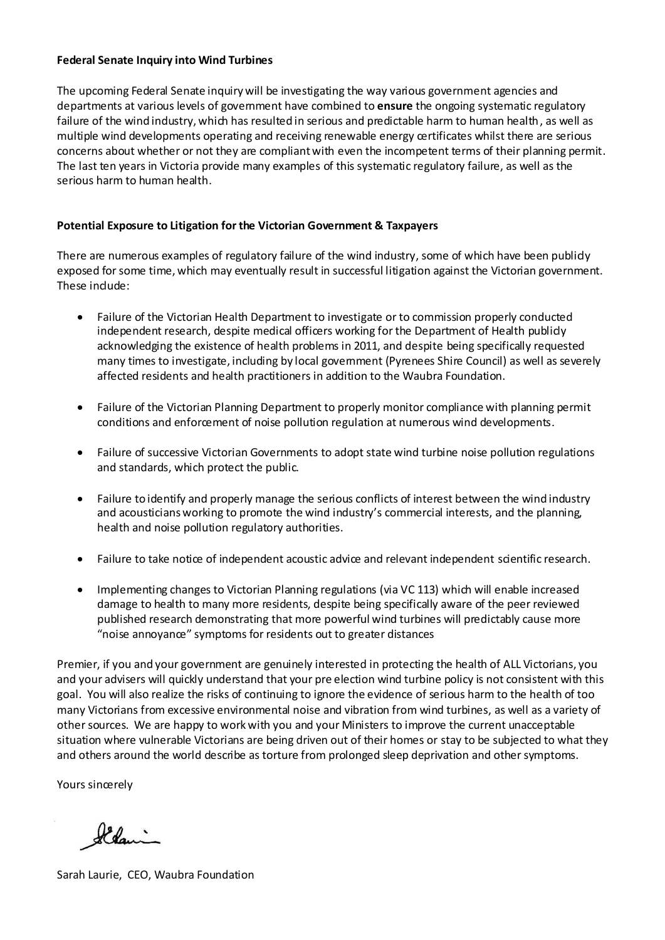#### **Federal Senate Inquiry into Wind Turbines**

The upcoming Federal Senate inquiry will be investigating the way various government agencies and departments at various levels of government have combined to **ensure** the ongoing systematic regulatory failure of the wind industry, which has resulted in serious and predictable harm to human health, as well as multiple wind developments operating and receiving renewable energy certificates whilst there are serious concerns about whether or not they are compliant with even the incompetent terms of their planning permit. The last ten years in Victoria provide many examples of this systematic regulatory failure, as well as the serious harm to human health.

# **Potential Exposure to Litigation for the Victorian Government & Taxpayers**

There are numerous examples of regulatory failure of the wind industry, some of which have been publicly exposed for some time, which may eventually result in successful litigation against the Victorian government. These indude:

- Failure of the Victorian Health Department to investigate or to commission properly conducted independent research, despite medical officers working for the Department of Health publicly acknowledging the existence of health problems in 2011, and despite being specifically requested many times to investigate, including by local government (Pyrenees Shire Council) as well as severely affected residents and health practitioners in addition to the Waubra Foundation.
- Failure of the Victorian Planning Department to properly monitor compliance with planning permit conditions and enforcement of noise pollution regulation at numerous wind developments.
- Failure of successive Victorian Governments to adopt state wind turbine noise pollution regulations and standards, which protect the public.
- Failure to identify and properly manage the serious conflicts of interest between the wind industry and acousticians working to promote the wind industry's commercial interests, and the planning, health and noise pollution regulatory authorities.
- Failure to take notice of independent acoustic advice and relevant independent scientific research.
- Implementing changes to Victorian Planning regulations (via VC 113) which will enable increased damage to health to many more residents, despite being specifically aware of the peer reviewed published research demonstrating that more powerful wind turbines will predictably cause more "noise annoyance" symptoms for residents out to greater distances

Premier, if you and your government are genuinely interested in protecting the health of ALL Victorians, you and your advisers will quickly understand that your pre election wind turbine policy is not consistent with this goal. You will also realize the risks of continuing to ignore the evidence of serious harm to the health of too many Victorians from excessive environmental noise and vibration from wind turbines, as well as a variety of other sources. We are happy to work with you and your Ministers to improve the current unacceptable situation where vulnerable Victorians are being driven out of their homes or stay to be subjected to what they and others around the world describe as torture from prolonged sleep deprivation and other symptoms.

Yours sincerely

Ildani

Sarah Laurie, CEO, Waubra Foundation